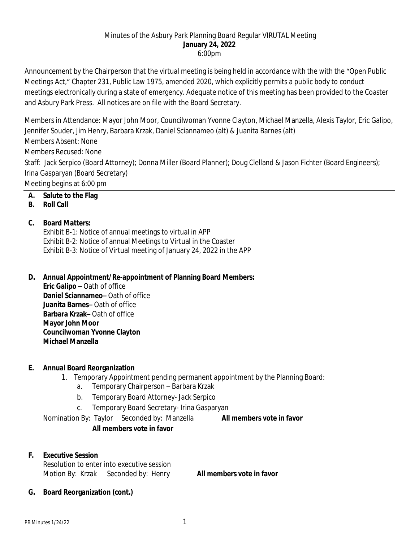#### Minutes of the Asbury Park Planning Board Regular VIRUTAL Meeting **January 24, 2022** 6:00pm

Announcement by the Chairperson that the virtual meeting is being held in accordance with the with the "Open Public Meetings Act," Chapter 231, Public Law 1975, amended 2020, which explicitly permits a public body to conduct meetings electronically during a state of emergency. Adequate notice of this meeting has been provided to the Coaster and Asbury Park Press. All notices are on file with the Board Secretary.

Members in Attendance: Mayor John Moor, Councilwoman Yvonne Clayton, Michael Manzella, Alexis Taylor, Eric Galipo, Jennifer Souder, Jim Henry, Barbara Krzak, Daniel Sciannameo (alt) & Juanita Barnes (alt)

Members Absent: None

Members Recused: None

Staff: Jack Serpico (Board Attorney); Donna Miller (Board Planner); Doug Clelland & Jason Fichter (Board Engineers); Irina Gasparyan (Board Secretary)

Meeting begins at 6:00 pm

## **A. Salute to the Flag**

### **B. Roll Call**

### **C. Board Matters:**

Exhibit B-1: Notice of annual meetings to virtual in APP Exhibit B-2: Notice of annual Meetings to Virtual in the Coaster Exhibit B-3: Notice of Virtual meeting of January 24, 2022 in the APP

### **D. Annual Appointment/Re-appointment of Planning Board Members:**

**Eric Galipo –** Oath of office **Daniel Sciannameo–** Oath of office **Juanita Barnes–** Oath of office **Barbara Krzak–** Oath of office **Mayor John Moor Councilwoman Yvonne Clayton Michael Manzella**

### **E. Annual Board Reorganization**

- 1. Temporary Appointment pending permanent appointment by the Planning Board:
	- a. Temporary Chairperson Barbara Krzak
	- b. Temporary Board Attorney- Jack Serpico
	- c. Temporary Board Secretary- Irina Gasparyan

Nomination By: Taylor Seconded by: Manzella **All members vote in favor**

# **All members vote in favor**

# **F. Executive Session**

Resolution to enter into executive session Motion By: Krzak Seconded by: Henry **All members vote in favor**

**G. Board Reorganization (cont.)**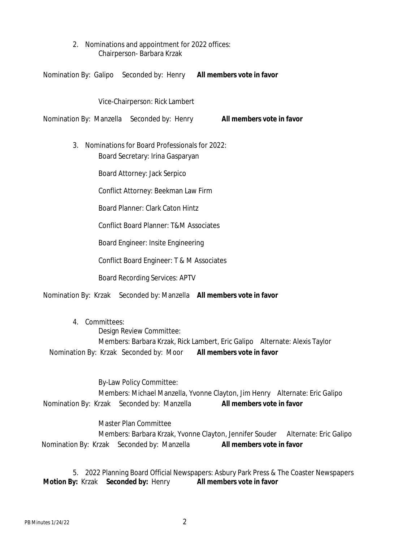2. Nominations and appointment for 2022 offices: Chairperson- Barbara Krzak

Nomination By: Galipo Seconded by: Henry **All members vote in favor**

Vice-Chairperson: Rick Lambert

Nomination By: Manzella Seconded by: Henry **All members vote in favor**

3. Nominations for Board Professionals for 2022: Board Secretary: Irina Gasparyan

Board Attorney: Jack Serpico

Conflict Attorney: Beekman Law Firm

Board Planner: Clark Caton Hintz

Conflict Board Planner: T&M Associates

Board Engineer: Insite Engineering

Conflict Board Engineer: T & M Associates

Board Recording Services: APTV

Nomination By: Krzak Seconded by: Manzella **All members vote in favor**

4. Committees: Design Review Committee: Members: Barbara Krzak, Rick Lambert, Eric Galipo Alternate: Alexis Taylor Nomination By: Krzak Seconded by: Moor **All members vote in favor**

By-Law Policy Committee: Members: Michael Manzella, Yvonne Clayton, Jim Henry Alternate: Eric Galipo Nomination By: Krzak Seconded by: Manzella **All members vote in favor**

Master Plan Committee Members: Barbara Krzak, Yvonne Clayton, Jennifer Souder Alternate: Eric Galipo Nomination By: Krzak Seconded by: Manzella **All members vote in favor**

5. 2022 Planning Board Official Newspapers: Asbury Park Press & The Coaster Newspapers **Motion By:** Krzak **Seconded by:** Henry **All members vote in favor**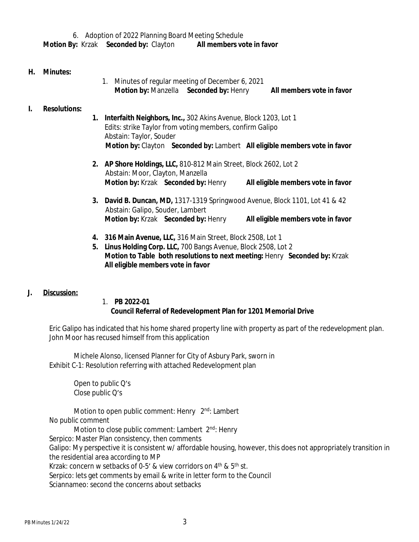#### **H. Minutes:**

1. Minutes of regular meeting of December 6, 2021 **Motion by:** Manzella **Seconded by:** Henry **All members vote in favor**

### **I. Resolutions:**

- **1. Interfaith Neighbors, Inc.,** 302 Akins Avenue, Block 1203, Lot 1 Edits: strike Taylor from voting members, confirm Galipo Abstain: Taylor, Souder  **Motion by:** Clayton **Seconded by:** Lambert **All eligible members vote in favor**
- **2. AP Shore Holdings, LLC,** 810-812 Main Street, Block 2602, Lot 2 Abstain: Moor, Clayton, Manzella **Motion by:** Krzak **Seconded by:** Henry **All eligible members vote in favor**
- **3. David B. Duncan, MD,** 1317-1319 Springwood Avenue, Block 1101, Lot 41 & 42 Abstain: Galipo, Souder, Lambert **Motion by:** Krzak **Seconded by:** Henry **All eligible members vote in favor**
- **4. 316 Main Avenue, LLC,** 316 Main Street, Block 2508, Lot 1
- **5. Linus Holding Corp. LLC,** 700 Bangs Avenue, Block 2508, Lot 2 **Motion to Table both resolutions to next meeting:** Henry **Seconded by:** Krzak **All eligible members vote in favor**

### **J. Discussion:**

#### 1. **PB 2022-01 Council Referral of Redevelopment Plan for 1201 Memorial Drive**

Eric Galipo has indicated that his home shared property line with property as part of the redevelopment plan. John Moor has recused himself from this application

Michele Alonso, licensed Planner for City of Asbury Park, sworn in Exhibit C-1: Resolution referring with attached Redevelopment plan

> Open to public Q's Close public Q's

Motion to open public comment: Henry 2<sup>nd</sup>: Lambert No public comment Motion to close public comment: Lambert 2<sup>nd</sup>: Henry

Serpico: Master Plan consistency, then comments Galipo: My perspective it is consistent w/ affordable housing, however, this does not appropriately transition in the residential area according to MP

Krzak: concern w setbacks of 0-5' & view corridors on  $4<sup>th</sup>$  &  $5<sup>th</sup>$  st.

Serpico: lets get comments by email & write in letter form to the Council

Sciannameo: second the concerns about setbacks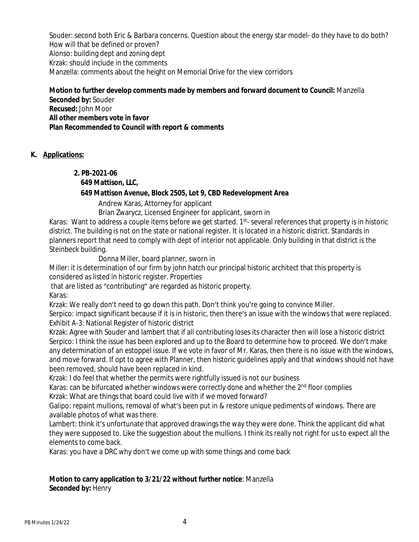Souder: second both Eric & Barbara concerns. Question about the energy star model- do they have to do both? How will that be defined or proven? Alonso: building dept and zoning dept Krzak: should include in the comments Manzella: comments about the height on Memorial Drive for the view corridors

### **Motion to further develop comments made by members and forward document to Council:** Manzella **Seconded by:** Souder **Recused:** John Moor **All other members vote in favor**

**Plan Recommended to Council with report & comments**

## **K. Applications:**

## **2. PB-2021-06**

### **649 Mattison, LLC,**

### **649 Mattison Avenue, Block 2505, Lot 9, CBD Redevelopment Area**

Andrew Karas, Attorney for applicant

Brian Zwarycz, Licensed Engineer for applicant, sworn in

Karas: Want to address a couple items before we get started. 1<sup>st</sup>- several references that property is in historic district. The building is not on the state or national register. It is located in a historic district. Standards in planners report that need to comply with dept of interior not applicable. Only building in that district is the Steinbeck building.

Donna Miller, board planner, sworn in

Miller: it is determination of our firm by john hatch our principal historic architect that this property is considered as listed in historic register. Properties

that are listed as "contributing" are regarded as historic property.

Karas:

Krzak: We really don't need to go down this path. Don't think you're going to convince Miller.

Serpico: impact significant because if it is in historic, then there's an issue with the windows that were replaced. Exhibit A-3: National Register of historic district

Krzak: Agree with Souder and lambert that if all contributing loses its character then will lose a historic district Serpico: I think the issue has been explored and up to the Board to determine how to proceed. We don't make any determination of an estoppel issue. If we vote in favor of Mr. Karas, then there is no issue with the windows, and move forward. If opt to agree with Planner, then historic guidelines apply and that windows should not have been removed, should have been replaced in kind.

Krzak: I do feel that whether the permits were rightfully issued is not our business

Karas: can be bifurcated whether windows were correctly done and whether the 2<sup>nd</sup> floor complies

Krzak: What are things that board could live with if we moved forward?

Galipo: repaint mullions, removal of what's been put in & restore unique pediments of windows. There are available photos of what was there.

Lambert: think it's unfortunate that approved drawings the way they were done. Think the applicant did what they were supposed to. Like the suggestion about the mullions. I think its really not right for us to expect all the elements to come back.

Karas: you have a DRC why don't we come up with some things and come back

### **Motion to carry application to 3/21/22 without further notice**: Manzella **Seconded by:** Henry